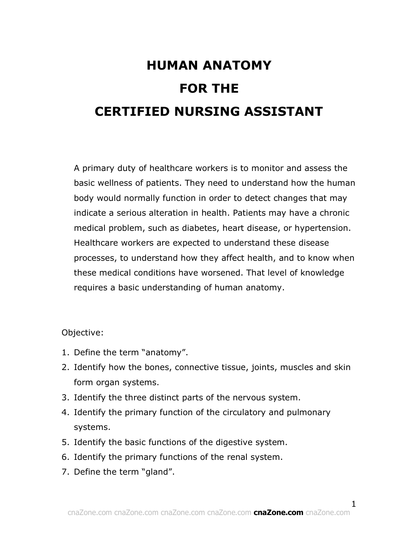# **HUMAN ANATOMY FOR THE CERTIFIED NURSING ASSISTANT**

A primary duty of healthcare workers is to monitor and assess the basic wellness of patients. They need to understand how the human body would normally function in order to detect changes that may indicate a serious alteration in health. Patients may have a chronic medical problem, such as diabetes, heart disease, or hypertension. Healthcare workers are expected to understand these disease processes, to understand how they affect health, and to know when these medical conditions have worsened. That level of knowledge requires a basic understanding of human anatomy.

Objective:

- 1. Define the term "anatomy".
- 2. Identify how the bones, connective tissue, joints, muscles and skin form organ systems.
- 3. Identify the three distinct parts of the nervous system.
- 4. Identify the primary function of the circulatory and pulmonary systems.
- 5. Identify the basic functions of the digestive system.
- 6. Identify the primary functions of the renal system.
- 7. Define the term "gland".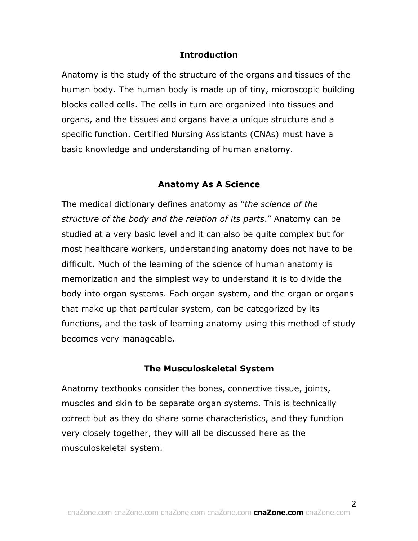#### **Introduction**

Anatomy is the study of the structure of the organs and tissues of the human body. The human body is made up of tiny, microscopic building blocks called cells. The cells in turn are organized into tissues and organs, and the tissues and organs have a unique structure and a specific function. Certified Nursing Assistants (CNAs) must have a basic knowledge and understanding of human anatomy.

#### **Anatomy As A Science**

The medical dictionary defines anatomy as "*the science of the structure of the body and the relation of its parts*." Anatomy can be studied at a very basic level and it can also be quite complex but for most healthcare workers, understanding anatomy does not have to be difficult. Much of the learning of the science of human anatomy is memorization and the simplest way to understand it is to divide the body into organ systems. Each organ system, and the organ or organs that make up that particular system, can be categorized by its functions, and the task of learning anatomy using this method of study becomes very manageable.

#### **The Musculoskeletal System**

Anatomy textbooks consider the bones, connective tissue, joints, muscles and skin to be separate organ systems. This is technically correct but as they do share some characteristics, and they function very closely together, they will all be discussed here as the musculoskeletal system.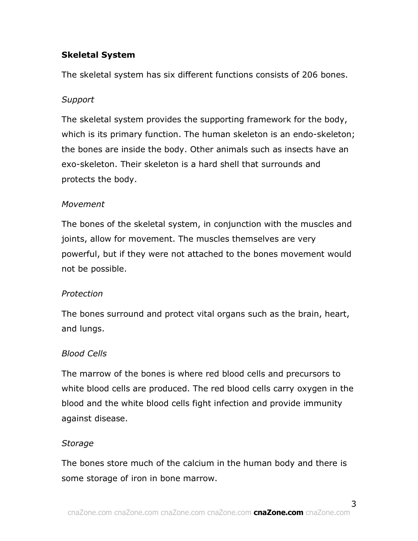# **Skeletal System**

The skeletal system has six different functions consists of 206 bones.

## *Support*

The skeletal system provides the supporting framework for the body, which is its primary function. The human skeleton is an endo-skeleton; the bones are inside the body. Other animals such as insects have an exo-skeleton. Their skeleton is a hard shell that surrounds and protects the body.

#### *Movement*

The bones of the skeletal system, in conjunction with the muscles and joints, allow for movement. The muscles themselves are very powerful, but if they were not attached to the bones movement would not be possible.

## *Protection*

The bones surround and protect vital organs such as the brain, heart, and lungs.

#### *Blood Cells*

The marrow of the bones is where red blood cells and precursors to white blood cells are produced. The red blood cells carry oxygen in the blood and the white blood cells fight infection and provide immunity against disease.

#### *Storage*

The bones store much of the calcium in the human body and there is some storage of iron in bone marrow.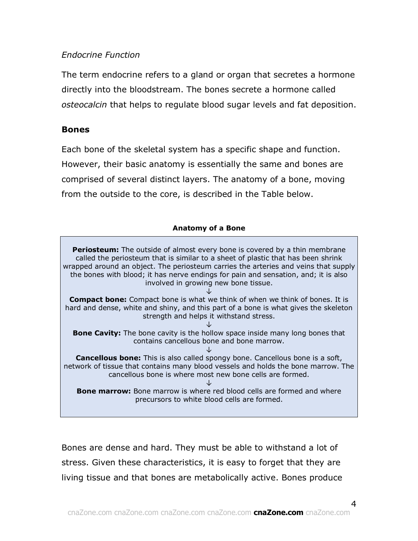## *Endocrine Function*

The term endocrine refers to a gland or organ that secretes a hormone directly into the bloodstream. The bones secrete a hormone called *osteocalcin* that helps to regulate blood sugar levels and fat deposition.

#### **Bones**

Each bone of the skeletal system has a specific shape and function. However, their basic anatomy is essentially the same and bones are comprised of several distinct layers. The anatomy of a bone, moving from the outside to the core, is described in the Table below.

#### **Anatomy of a Bone**

**Periosteum:** The outside of almost every bone is covered by a thin membrane called the periosteum that is similar to a sheet of plastic that has been shrink wrapped around an object. The periosteum carries the arteries and veins that supply the bones with blood; it has nerve endings for pain and sensation, and; it is also involved in growing new bone tissue. ↓ **Compact bone:** Compact bone is what we think of when we think of bones. It is hard and dense, white and shiny, and this part of a bone is what gives the skeleton strength and helps it withstand stress. ↓ **Bone Cavity:** The bone cavity is the hollow space inside many long bones that contains cancellous bone and bone marrow. ↓ **Cancellous bone:** This is also called spongy bone. Cancellous bone is a soft, network of tissue that contains many blood vessels and holds the bone marrow. The cancellous bone is where most new bone cells are formed. ↓ **Bone marrow:** Bone marrow is where red blood cells are formed and where precursors to white blood cells are formed.

Bones are dense and hard. They must be able to withstand a lot of stress. Given these characteristics, it is easy to forget that they are living tissue and that bones are metabolically active. Bones produce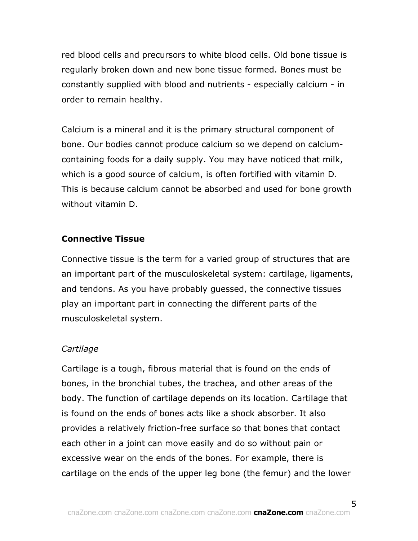red blood cells and precursors to white blood cells. Old bone tissue is regularly broken down and new bone tissue formed. Bones must be constantly supplied with blood and nutrients - especially calcium - in order to remain healthy.

Calcium is a mineral and it is the primary structural component of bone. Our bodies cannot produce calcium so we depend on calciumcontaining foods for a daily supply. You may have noticed that milk, which is a good source of calcium, is often fortified with vitamin D. This is because calcium cannot be absorbed and used for bone growth without vitamin D.

#### **Connective Tissue**

Connective tissue is the term for a varied group of structures that are an important part of the musculoskeletal system: cartilage, ligaments, and tendons. As you have probably guessed, the connective tissues play an important part in connecting the different parts of the musculoskeletal system.

#### *Cartilage*

Cartilage is a tough, fibrous material that is found on the ends of bones, in the bronchial tubes, the trachea, and other areas of the body. The function of cartilage depends on its location. Cartilage that is found on the ends of bones acts like a shock absorber. It also provides a relatively friction-free surface so that bones that contact each other in a joint can move easily and do so without pain or excessive wear on the ends of the bones. For example, there is cartilage on the ends of the upper leg bone (the femur) and the lower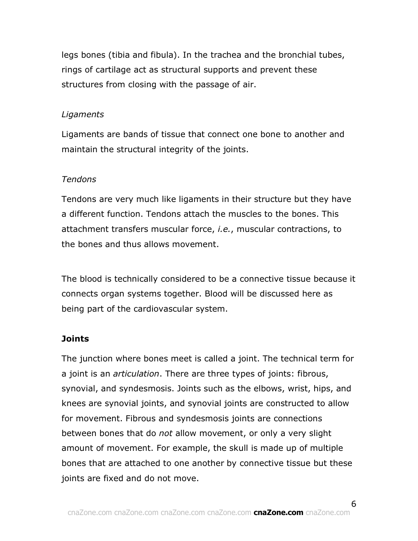legs bones (tibia and fibula). In the trachea and the bronchial tubes, rings of cartilage act as structural supports and prevent these structures from closing with the passage of air.

#### *Ligaments*

Ligaments are bands of tissue that connect one bone to another and maintain the structural integrity of the joints.

#### *Tendons*

Tendons are very much like ligaments in their structure but they have a different function. Tendons attach the muscles to the bones. This attachment transfers muscular force, *i.e.*, muscular contractions, to the bones and thus allows movement.

The blood is technically considered to be a connective tissue because it connects organ systems together. Blood will be discussed here as being part of the cardiovascular system.

## **Joints**

The junction where bones meet is called a joint. The technical term for a joint is an *articulation*. There are three types of joints: fibrous, synovial, and syndesmosis. Joints such as the elbows, wrist, hips, and knees are synovial joints, and synovial joints are constructed to allow for movement. Fibrous and syndesmosis joints are connections between bones that do *not* allow movement, or only a very slight amount of movement. For example, the skull is made up of multiple bones that are attached to one another by connective tissue but these joints are fixed and do not move.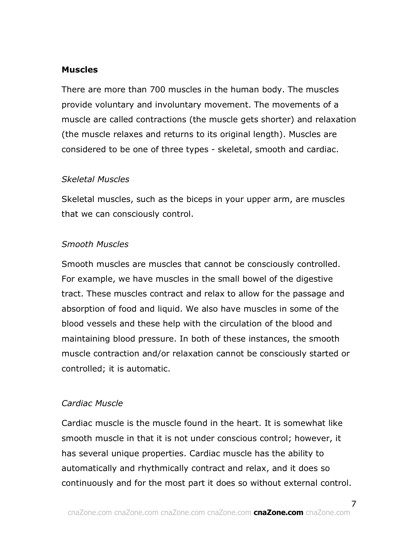#### **Muscles**

There are more than 700 muscles in the human body. The muscles provide voluntary and involuntary movement. The movements of a muscle are called contractions (the muscle gets shorter) and relaxation (the muscle relaxes and returns to its original length). Muscles are considered to be one of three types - skeletal, smooth and cardiac.

#### *Skeletal Muscles*

Skeletal muscles, such as the biceps in your upper arm, are muscles that we can consciously control.

## *Smooth Muscles*

Smooth muscles are muscles that cannot be consciously controlled. For example, we have muscles in the small bowel of the digestive tract. These muscles contract and relax to allow for the passage and absorption of food and liquid. We also have muscles in some of the blood vessels and these help with the circulation of the blood and maintaining blood pressure. In both of these instances, the smooth muscle contraction and/or relaxation cannot be consciously started or controlled; it is automatic.

## *Cardiac Muscle*

Cardiac muscle is the muscle found in the heart. It is somewhat like smooth muscle in that it is not under conscious control; however, it has several unique properties. Cardiac muscle has the ability to automatically and rhythmically contract and relax, and it does so continuously and for the most part it does so without external control.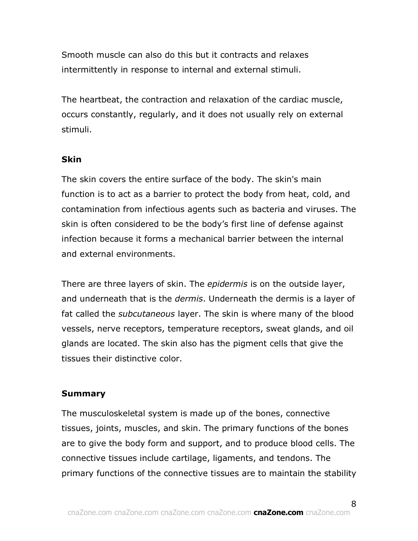Smooth muscle can also do this but it contracts and relaxes intermittently in response to internal and external stimuli.

The heartbeat, the contraction and relaxation of the cardiac muscle, occurs constantly, regularly, and it does not usually rely on external stimuli.

## **Skin**

The skin covers the entire surface of the body. The skin's main function is to act as a barrier to protect the body from heat, cold, and contamination from infectious agents such as bacteria and viruses. The skin is often considered to be the body's first line of defense against infection because it forms a mechanical barrier between the internal and external environments.

There are three layers of skin. The *epidermis* is on the outside layer, and underneath that is the *dermis*. Underneath the dermis is a layer of fat called the *subcutaneous* layer. The skin is where many of the blood vessels, nerve receptors, temperature receptors, sweat glands, and oil glands are located. The skin also has the pigment cells that give the tissues their distinctive color.

#### **Summary**

The musculoskeletal system is made up of the bones, connective tissues, joints, muscles, and skin. The primary functions of the bones are to give the body form and support, and to produce blood cells. The connective tissues include cartilage, ligaments, and tendons. The primary functions of the connective tissues are to maintain the stability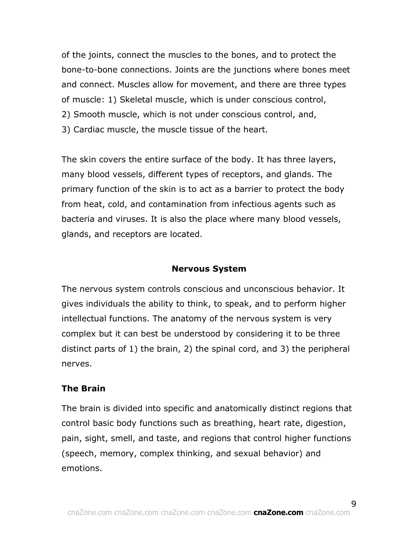of the joints, connect the muscles to the bones, and to protect the bone-to-bone connections. Joints are the junctions where bones meet and connect. Muscles allow for movement, and there are three types of muscle: 1) Skeletal muscle, which is under conscious control, 2) Smooth muscle, which is not under conscious control, and, 3) Cardiac muscle, the muscle tissue of the heart.

The skin covers the entire surface of the body. It has three layers, many blood vessels, different types of receptors, and glands. The primary function of the skin is to act as a barrier to protect the body from heat, cold, and contamination from infectious agents such as bacteria and viruses. It is also the place where many blood vessels, glands, and receptors are located.

#### **Nervous System**

The nervous system controls conscious and unconscious behavior. It gives individuals the ability to think, to speak, and to perform higher intellectual functions. The anatomy of the nervous system is very complex but it can best be understood by considering it to be three distinct parts of 1) the brain, 2) the spinal cord, and 3) the peripheral nerves.

#### **The Brain**

The brain is divided into specific and anatomically distinct regions that control basic body functions such as breathing, heart rate, digestion, pain, sight, smell, and taste, and regions that control higher functions (speech, memory, complex thinking, and sexual behavior) and emotions.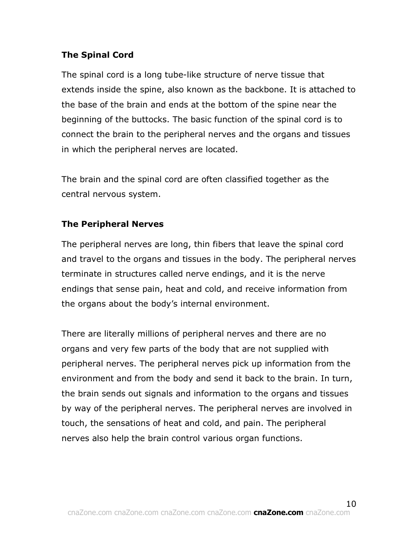## **The Spinal Cord**

The spinal cord is a long tube-like structure of nerve tissue that extends inside the spine, also known as the backbone. It is attached to the base of the brain and ends at the bottom of the spine near the beginning of the buttocks. The basic function of the spinal cord is to connect the brain to the peripheral nerves and the organs and tissues in which the peripheral nerves are located.

The brain and the spinal cord are often classified together as the central nervous system.

# **The Peripheral Nerves**

The peripheral nerves are long, thin fibers that leave the spinal cord and travel to the organs and tissues in the body. The peripheral nerves terminate in structures called nerve endings, and it is the nerve endings that sense pain, heat and cold, and receive information from the organs about the body's internal environment.

There are literally millions of peripheral nerves and there are no organs and very few parts of the body that are not supplied with peripheral nerves. The peripheral nerves pick up information from the environment and from the body and send it back to the brain. In turn, the brain sends out signals and information to the organs and tissues by way of the peripheral nerves. The peripheral nerves are involved in touch, the sensations of heat and cold, and pain. The peripheral nerves also help the brain control various organ functions.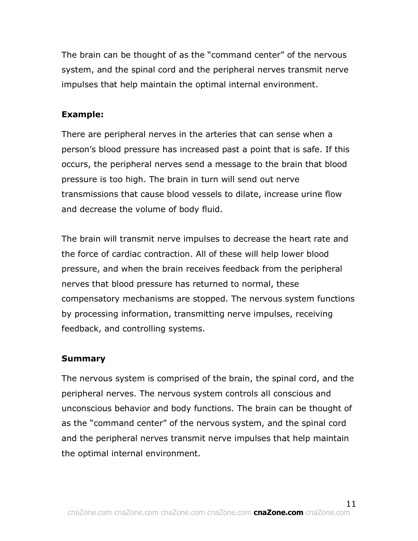The brain can be thought of as the "command center" of the nervous system, and the spinal cord and the peripheral nerves transmit nerve impulses that help maintain the optimal internal environment.

## **Example:**

There are peripheral nerves in the arteries that can sense when a person's blood pressure has increased past a point that is safe. If this occurs, the peripheral nerves send a message to the brain that blood pressure is too high. The brain in turn will send out nerve transmissions that cause blood vessels to dilate, increase urine flow and decrease the volume of body fluid.

The brain will transmit nerve impulses to decrease the heart rate and the force of cardiac contraction. All of these will help lower blood pressure, and when the brain receives feedback from the peripheral nerves that blood pressure has returned to normal, these compensatory mechanisms are stopped. The nervous system functions by processing information, transmitting nerve impulses, receiving feedback, and controlling systems.

#### **Summary**

The nervous system is comprised of the brain, the spinal cord, and the peripheral nerves. The nervous system controls all conscious and unconscious behavior and body functions. The brain can be thought of as the "command center" of the nervous system, and the spinal cord and the peripheral nerves transmit nerve impulses that help maintain the optimal internal environment.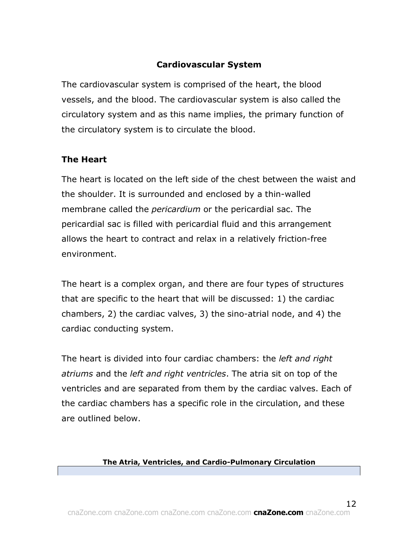# **Cardiovascular System**

The cardiovascular system is comprised of the heart, the blood vessels, and the blood. The cardiovascular system is also called the circulatory system and as this name implies, the primary function of the circulatory system is to circulate the blood.

## **The Heart**

The heart is located on the left side of the chest between the waist and the shoulder. It is surrounded and enclosed by a thin-walled membrane called the *pericardium* or the pericardial sac. The pericardial sac is filled with pericardial fluid and this arrangement allows the heart to contract and relax in a relatively friction-free environment.

The heart is a complex organ, and there are four types of structures that are specific to the heart that will be discussed: 1) the cardiac chambers, 2) the cardiac valves, 3) the sino-atrial node, and 4) the cardiac conducting system.

The heart is divided into four cardiac chambers: the *left and right atriums* and the *left and right ventricles*. The atria sit on top of the ventricles and are separated from them by the cardiac valves. Each of the cardiac chambers has a specific role in the circulation, and these are outlined below.

#### **The Atria, Ventricles, and Cardio-Pulmonary Circulation**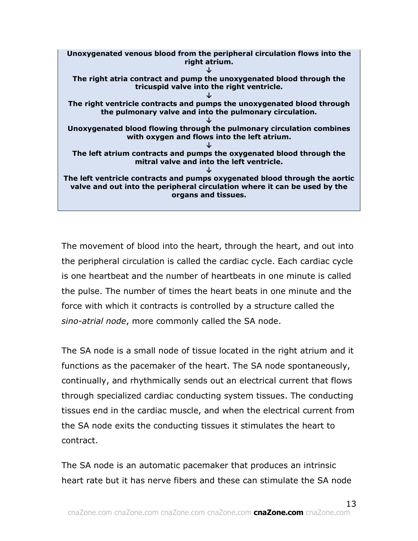

The movement of blood into the heart, through the heart, and out into the peripheral circulation is called the cardiac cycle. Each cardiac cycle is one heartbeat and the number of heartbeats in one minute is called the pulse. The number of times the heart beats in one minute and the force with which it contracts is controlled by a structure called the *sino-atrial node*, more commonly called the SA node.

The SA node is a small node of tissue located in the right atrium and it functions as the pacemaker of the heart. The SA node spontaneously, continually, and rhythmically sends out an electrical current that flows through specialized cardiac conducting system tissues. The conducting tissues end in the cardiac muscle, and when the electrical current from the SA node exits the conducting tissues it stimulates the heart to contract.

The SA node is an automatic pacemaker that produces an intrinsic heart rate but it has nerve fibers and these can stimulate the SA node

13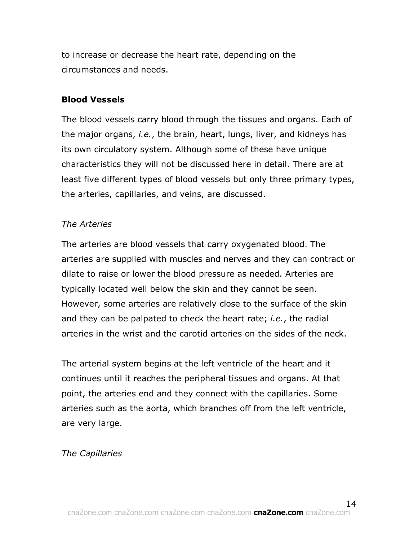to increase or decrease the heart rate, depending on the circumstances and needs.

#### **Blood Vessels**

The blood vessels carry blood through the tissues and organs. Each of the major organs, *i.e.*, the brain, heart, lungs, liver, and kidneys has its own circulatory system. Although some of these have unique characteristics they will not be discussed here in detail. There are at least five different types of blood vessels but only three primary types, the arteries, capillaries, and veins, are discussed.

#### *The Arteries*

The arteries are blood vessels that carry oxygenated blood. The arteries are supplied with muscles and nerves and they can contract or dilate to raise or lower the blood pressure as needed. Arteries are typically located well below the skin and they cannot be seen. However, some arteries are relatively close to the surface of the skin and they can be palpated to check the heart rate; *i.e.*, the radial arteries in the wrist and the carotid arteries on the sides of the neck.

The arterial system begins at the left ventricle of the heart and it continues until it reaches the peripheral tissues and organs. At that point, the arteries end and they connect with the capillaries. Some arteries such as the aorta, which branches off from the left ventricle, are very large.

#### *The Capillaries*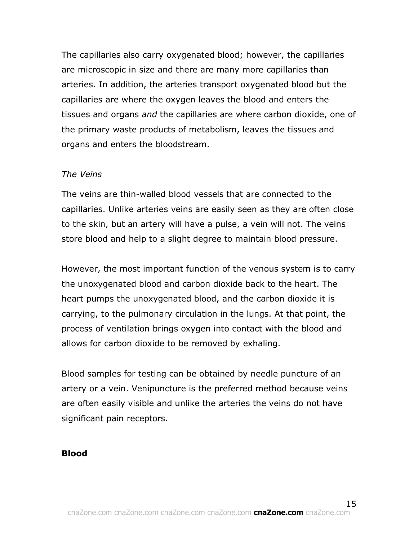The capillaries also carry oxygenated blood; however, the capillaries are microscopic in size and there are many more capillaries than arteries. In addition, the arteries transport oxygenated blood but the capillaries are where the oxygen leaves the blood and enters the tissues and organs *and* the capillaries are where carbon dioxide, one of the primary waste products of metabolism, leaves the tissues and organs and enters the bloodstream.

#### *The Veins*

The veins are thin-walled blood vessels that are connected to the capillaries. Unlike arteries veins are easily seen as they are often close to the skin, but an artery will have a pulse, a vein will not. The veins store blood and help to a slight degree to maintain blood pressure.

However, the most important function of the venous system is to carry the unoxygenated blood and carbon dioxide back to the heart. The heart pumps the unoxygenated blood, and the carbon dioxide it is carrying, to the pulmonary circulation in the lungs. At that point, the process of ventilation brings oxygen into contact with the blood and allows for carbon dioxide to be removed by exhaling.

Blood samples for testing can be obtained by needle puncture of an artery or a vein. Venipuncture is the preferred method because veins are often easily visible and unlike the arteries the veins do not have significant pain receptors.

#### **Blood**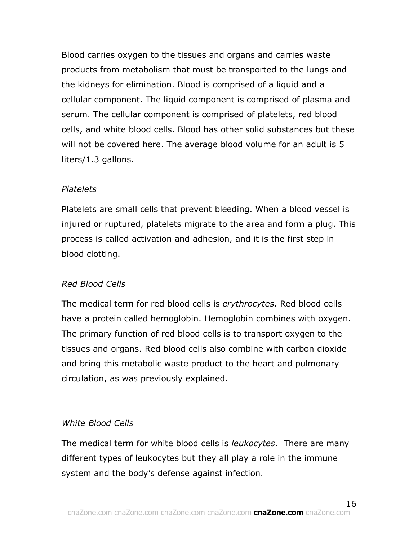Blood carries oxygen to the tissues and organs and carries waste products from metabolism that must be transported to the lungs and the kidneys for elimination. Blood is comprised of a liquid and a cellular component. The liquid component is comprised of plasma and serum. The cellular component is comprised of platelets, red blood cells, and white blood cells. Blood has other solid substances but these will not be covered here. The average blood volume for an adult is 5 liters/1.3 gallons.

#### *Platelets*

Platelets are small cells that prevent bleeding. When a blood vessel is injured or ruptured, platelets migrate to the area and form a plug. This process is called activation and adhesion, and it is the first step in blood clotting.

## *Red Blood Cells*

The medical term for red blood cells is *erythrocytes*. Red blood cells have a protein called hemoglobin. Hemoglobin combines with oxygen. The primary function of red blood cells is to transport oxygen to the tissues and organs. Red blood cells also combine with carbon dioxide and bring this metabolic waste product to the heart and pulmonary circulation, as was previously explained.

## *White Blood Cells*

The medical term for white blood cells is *leukocytes*. There are many different types of leukocytes but they all play a role in the immune system and the body's defense against infection.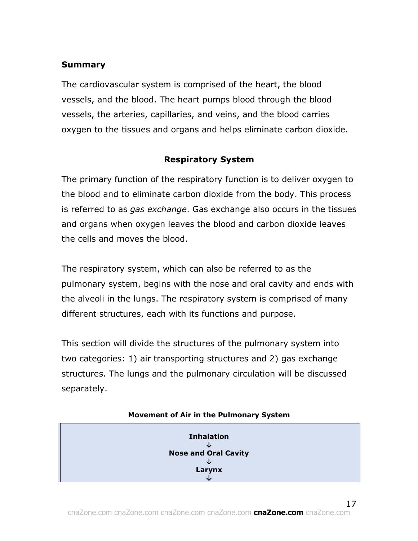## **Summary**

The cardiovascular system is comprised of the heart, the blood vessels, and the blood. The heart pumps blood through the blood vessels, the arteries, capillaries, and veins, and the blood carries oxygen to the tissues and organs and helps eliminate carbon dioxide.

#### **Respiratory System**

The primary function of the respiratory function is to deliver oxygen to the blood and to eliminate carbon dioxide from the body. This process is referred to as *gas exchange*. Gas exchange also occurs in the tissues and organs when oxygen leaves the blood and carbon dioxide leaves the cells and moves the blood.

The respiratory system, which can also be referred to as the pulmonary system, begins with the nose and oral cavity and ends with the alveoli in the lungs. The respiratory system is comprised of many different structures, each with its functions and purpose.

This section will divide the structures of the pulmonary system into two categories: 1) air transporting structures and 2) gas exchange structures. The lungs and the pulmonary circulation will be discussed separately.



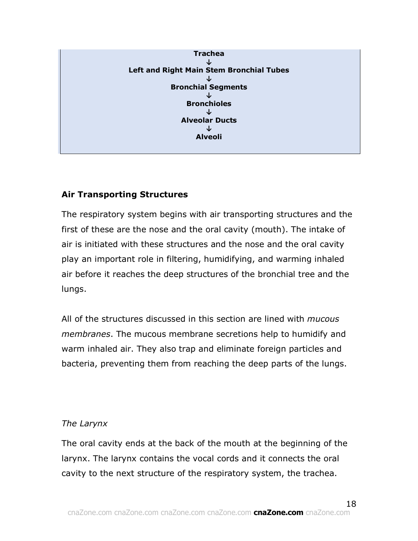

# **Air Transporting Structures**

The respiratory system begins with air transporting structures and the first of these are the nose and the oral cavity (mouth). The intake of air is initiated with these structures and the nose and the oral cavity play an important role in filtering, humidifying, and warming inhaled air before it reaches the deep structures of the bronchial tree and the lungs.

All of the structures discussed in this section are lined with *mucous membranes*. The mucous membrane secretions help to humidify and warm inhaled air. They also trap and eliminate foreign particles and bacteria, preventing them from reaching the deep parts of the lungs.

## *The Larynx*

The oral cavity ends at the back of the mouth at the beginning of the larynx. The larynx contains the vocal cords and it connects the oral cavity to the next structure of the respiratory system, the trachea.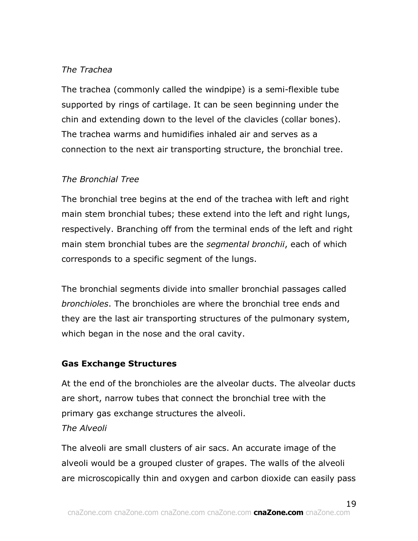# *The Trachea*

The trachea (commonly called the windpipe) is a semi-flexible tube supported by rings of cartilage. It can be seen beginning under the chin and extending down to the level of the clavicles (collar bones). The trachea warms and humidifies inhaled air and serves as a connection to the next air transporting structure, the bronchial tree.

## *The Bronchial Tree*

The bronchial tree begins at the end of the trachea with left and right main stem bronchial tubes; these extend into the left and right lungs, respectively. Branching off from the terminal ends of the left and right main stem bronchial tubes are the *segmental bronchii*, each of which corresponds to a specific segment of the lungs.

The bronchial segments divide into smaller bronchial passages called *bronchioles*. The bronchioles are where the bronchial tree ends and they are the last air transporting structures of the pulmonary system, which began in the nose and the oral cavity.

## **Gas Exchange Structures**

At the end of the bronchioles are the alveolar ducts. The alveolar ducts are short, narrow tubes that connect the bronchial tree with the primary gas exchange structures the alveoli. *The Alveoli*

The alveoli are small clusters of air sacs. An accurate image of the alveoli would be a grouped cluster of grapes. The walls of the alveoli are microscopically thin and oxygen and carbon dioxide can easily pass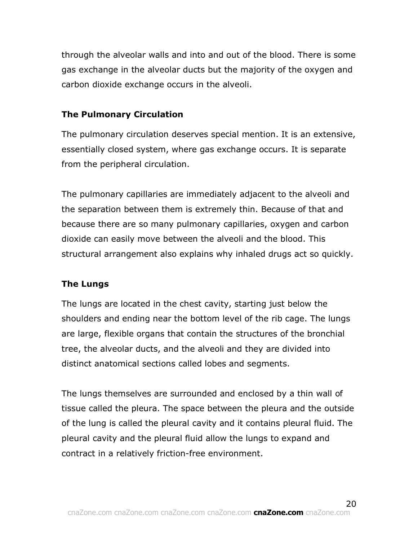through the alveolar walls and into and out of the blood. There is some gas exchange in the alveolar ducts but the majority of the oxygen and carbon dioxide exchange occurs in the alveoli.

## **The Pulmonary Circulation**

The pulmonary circulation deserves special mention. It is an extensive, essentially closed system, where gas exchange occurs. It is separate from the peripheral circulation.

The pulmonary capillaries are immediately adjacent to the alveoli and the separation between them is extremely thin. Because of that and because there are so many pulmonary capillaries, oxygen and carbon dioxide can easily move between the alveoli and the blood. This structural arrangement also explains why inhaled drugs act so quickly.

## **The Lungs**

The lungs are located in the chest cavity, starting just below the shoulders and ending near the bottom level of the rib cage. The lungs are large, flexible organs that contain the structures of the bronchial tree, the alveolar ducts, and the alveoli and they are divided into distinct anatomical sections called lobes and segments.

The lungs themselves are surrounded and enclosed by a thin wall of tissue called the pleura. The space between the pleura and the outside of the lung is called the pleural cavity and it contains pleural fluid. The pleural cavity and the pleural fluid allow the lungs to expand and contract in a relatively friction-free environment.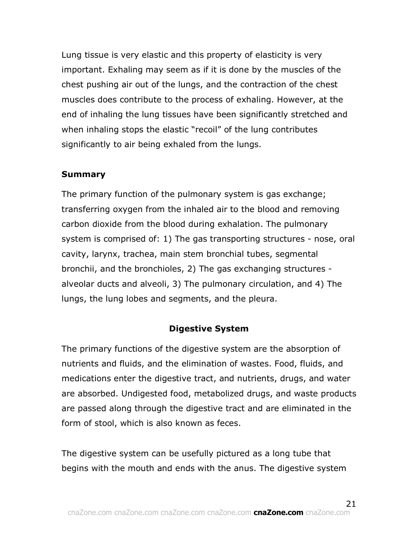Lung tissue is very elastic and this property of elasticity is very important. Exhaling may seem as if it is done by the muscles of the chest pushing air out of the lungs, and the contraction of the chest muscles does contribute to the process of exhaling. However, at the end of inhaling the lung tissues have been significantly stretched and when inhaling stops the elastic "recoil" of the lung contributes significantly to air being exhaled from the lungs.

#### **Summary**

The primary function of the pulmonary system is gas exchange; transferring oxygen from the inhaled air to the blood and removing carbon dioxide from the blood during exhalation. The pulmonary system is comprised of: 1) The gas transporting structures - nose, oral cavity, larynx, trachea, main stem bronchial tubes, segmental bronchii, and the bronchioles, 2) The gas exchanging structures alveolar ducts and alveoli, 3) The pulmonary circulation, and 4) The lungs, the lung lobes and segments, and the pleura.

#### **Digestive System**

The primary functions of the digestive system are the absorption of nutrients and fluids, and the elimination of wastes. Food, fluids, and medications enter the digestive tract, and nutrients, drugs, and water are absorbed. Undigested food, metabolized drugs, and waste products are passed along through the digestive tract and are eliminated in the form of stool, which is also known as feces.

The digestive system can be usefully pictured as a long tube that begins with the mouth and ends with the anus. The digestive system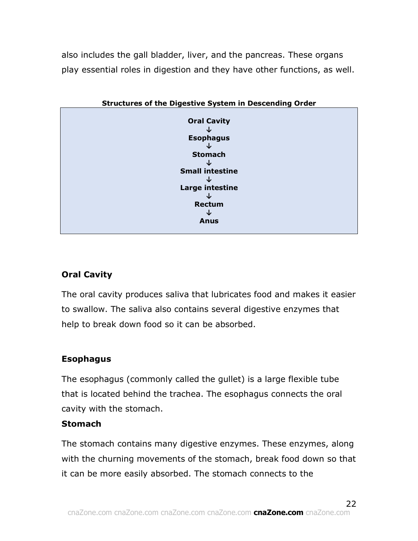also includes the gall bladder, liver, and the pancreas. These organs play essential roles in digestion and they have other functions, as well.



# **Oral Cavity**

The oral cavity produces saliva that lubricates food and makes it easier to swallow. The saliva also contains several digestive enzymes that help to break down food so it can be absorbed.

# **Esophagus**

The esophagus (commonly called the gullet) is a large flexible tube that is located behind the trachea. The esophagus connects the oral cavity with the stomach.

## **Stomach**

The stomach contains many digestive enzymes. These enzymes, along with the churning movements of the stomach, break food down so that it can be more easily absorbed. The stomach connects to the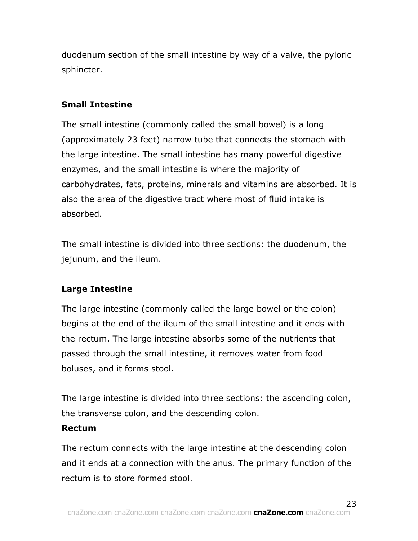duodenum section of the small intestine by way of a valve, the pyloric sphincter.

# **Small Intestine**

The small intestine (commonly called the small bowel) is a long (approximately 23 feet) narrow tube that connects the stomach with the large intestine. The small intestine has many powerful digestive enzymes, and the small intestine is where the majority of carbohydrates, fats, proteins, minerals and vitamins are absorbed. It is also the area of the digestive tract where most of fluid intake is absorbed.

The small intestine is divided into three sections: the duodenum, the jejunum, and the ileum.

# **Large Intestine**

The large intestine (commonly called the large bowel or the colon) begins at the end of the ileum of the small intestine and it ends with the rectum. The large intestine absorbs some of the nutrients that passed through the small intestine, it removes water from food boluses, and it forms stool.

The large intestine is divided into three sections: the ascending colon, the transverse colon, and the descending colon.

## **Rectum**

The rectum connects with the large intestine at the descending colon and it ends at a connection with the anus. The primary function of the rectum is to store formed stool.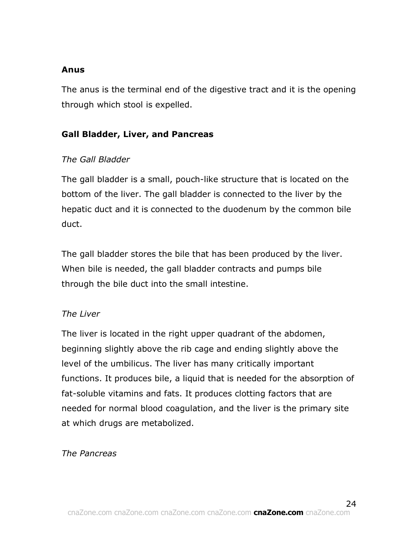## **Anus**

The anus is the terminal end of the digestive tract and it is the opening through which stool is expelled.

# **Gall Bladder, Liver, and Pancreas**

# *The Gall Bladder*

The gall bladder is a small, pouch-like structure that is located on the bottom of the liver. The gall bladder is connected to the liver by the hepatic duct and it is connected to the duodenum by the common bile duct.

The gall bladder stores the bile that has been produced by the liver. When bile is needed, the gall bladder contracts and pumps bile through the bile duct into the small intestine.

## *The Liver*

The liver is located in the right upper quadrant of the abdomen, beginning slightly above the rib cage and ending slightly above the level of the umbilicus. The liver has many critically important functions. It produces bile, a liquid that is needed for the absorption of fat-soluble vitamins and fats. It produces clotting factors that are needed for normal blood coagulation, and the liver is the primary site at which drugs are metabolized.

## *The Pancreas*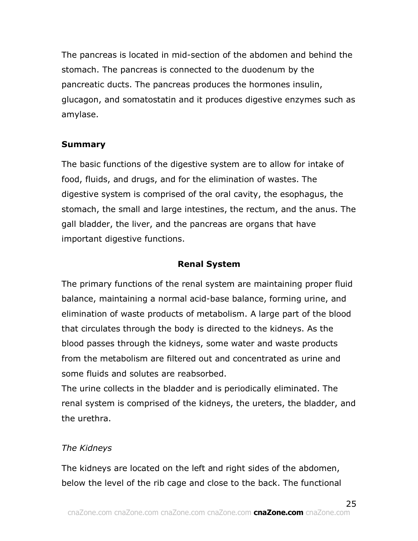The pancreas is located in mid-section of the abdomen and behind the stomach. The pancreas is connected to the duodenum by the pancreatic ducts. The pancreas produces the hormones insulin, glucagon, and somatostatin and it produces digestive enzymes such as amylase.

#### **Summary**

The basic functions of the digestive system are to allow for intake of food, fluids, and drugs, and for the elimination of wastes. The digestive system is comprised of the oral cavity, the esophagus, the stomach, the small and large intestines, the rectum, and the anus. The gall bladder, the liver, and the pancreas are organs that have important digestive functions.

#### **Renal System**

The primary functions of the renal system are maintaining proper fluid balance, maintaining a normal acid-base balance, forming urine, and elimination of waste products of metabolism. A large part of the blood that circulates through the body is directed to the kidneys. As the blood passes through the kidneys, some water and waste products from the metabolism are filtered out and concentrated as urine and some fluids and solutes are reabsorbed.

The urine collects in the bladder and is periodically eliminated. The renal system is comprised of the kidneys, the ureters, the bladder, and the urethra.

## *The Kidneys*

The kidneys are located on the left and right sides of the abdomen, below the level of the rib cage and close to the back. The functional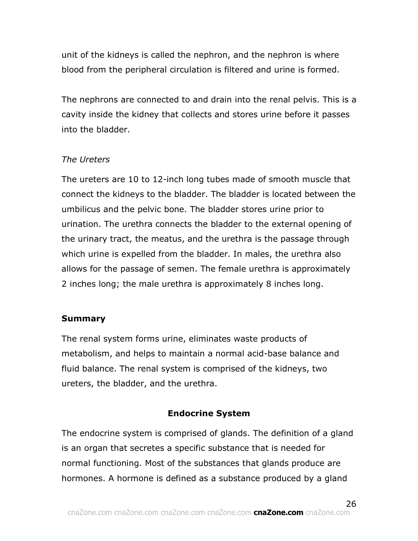unit of the kidneys is called the nephron, and the nephron is where blood from the peripheral circulation is filtered and urine is formed.

The nephrons are connected to and drain into the renal pelvis. This is a cavity inside the kidney that collects and stores urine before it passes into the bladder.

# *The Ureters*

The ureters are 10 to 12-inch long tubes made of smooth muscle that connect the kidneys to the bladder. The bladder is located between the umbilicus and the pelvic bone. The bladder stores urine prior to urination. The urethra connects the bladder to the external opening of the urinary tract, the meatus, and the urethra is the passage through which urine is expelled from the bladder. In males, the urethra also allows for the passage of semen. The female urethra is approximately 2 inches long; the male urethra is approximately 8 inches long.

## **Summary**

The renal system forms urine, eliminates waste products of metabolism, and helps to maintain a normal acid-base balance and fluid balance. The renal system is comprised of the kidneys, two ureters, the bladder, and the urethra.

## **Endocrine System**

The endocrine system is comprised of glands. The definition of a gland is an organ that secretes a specific substance that is needed for normal functioning. Most of the substances that glands produce are hormones. A hormone is defined as a substance produced by a gland

26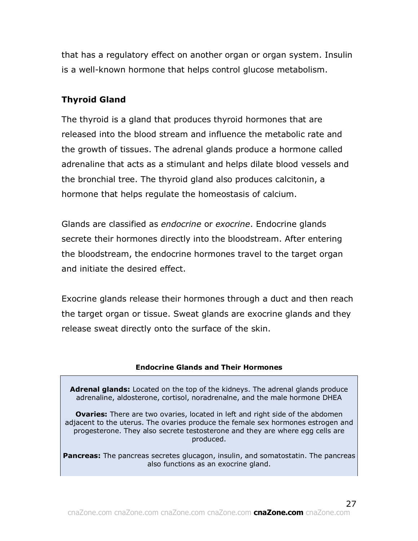that has a regulatory effect on another organ or organ system. Insulin is a well-known hormone that helps control glucose metabolism.

## **Thyroid Gland**

The thyroid is a gland that produces thyroid hormones that are released into the blood stream and influence the metabolic rate and the growth of tissues. The adrenal glands produce a hormone called adrenaline that acts as a stimulant and helps dilate blood vessels and the bronchial tree. The thyroid gland also produces calcitonin, a hormone that helps regulate the homeostasis of calcium.

Glands are classified as *endocrine* or *exocrine*. Endocrine glands secrete their hormones directly into the bloodstream. After entering the bloodstream, the endocrine hormones travel to the target organ and initiate the desired effect.

Exocrine glands release their hormones through a duct and then reach the target organ or tissue. Sweat glands are exocrine glands and they release sweat directly onto the surface of the skin.

#### **Endocrine Glands and Their Hormones**

**Adrenal glands:** Located on the top of the kidneys. The adrenal glands produce adrenaline, aldosterone, cortisol, noradrenalne, and the male hormone DHEA

**Ovaries:** There are two ovaries, located in left and right side of the abdomen adjacent to the uterus. The ovaries produce the female sex hormones estrogen and progesterone. They also secrete testosterone and they are where egg cells are produced.

**Pancreas:** The pancreas secretes glucagon, insulin, and somatostatin. The pancreas also functions as an exocrine gland.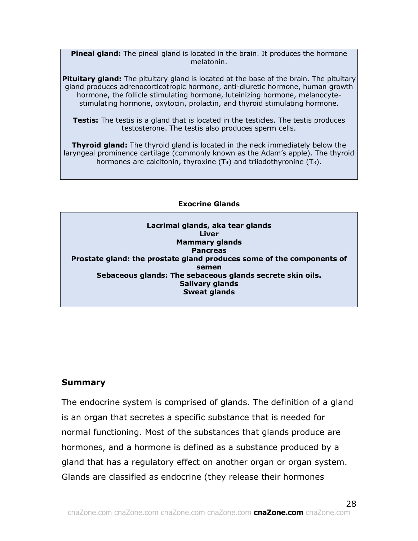**Pineal gland:** The pineal gland is located in the brain. It produces the hormone melatonin.

**Pituitary gland:** The pituitary gland is located at the base of the brain. The pituitary gland produces adrenocorticotropic hormone, anti-diuretic hormone, human growth hormone, the follicle stimulating hormone, luteinizing hormone, melanocytestimulating hormone, oxytocin, prolactin, and thyroid stimulating hormone.

**Testis:** The testis is a gland that is located in the testicles. The testis produces testosterone. The testis also produces sperm cells.

**Thyroid gland:** The thyroid gland is located in the neck immediately below the laryngeal prominence cartilage (commonly known as the Adam's apple). The thyroid hormones are calcitonin, thyroxine  $(T_4)$  and triiodothyronine  $(T_3)$ .

**Exocrine Glands**

**Lacrimal glands, aka tear glands Liver Mammary glands Pancreas Prostate gland: the prostate gland produces some of the components of semen Sebaceous glands: The sebaceous glands secrete skin oils. Salivary glands Sweat glands**

#### **Summary**

The endocrine system is comprised of glands. The definition of a gland is an organ that secretes a specific substance that is needed for normal functioning. Most of the substances that glands produce are hormones, and a hormone is defined as a substance produced by a gland that has a regulatory effect on another organ or organ system. Glands are classified as endocrine (they release their hormones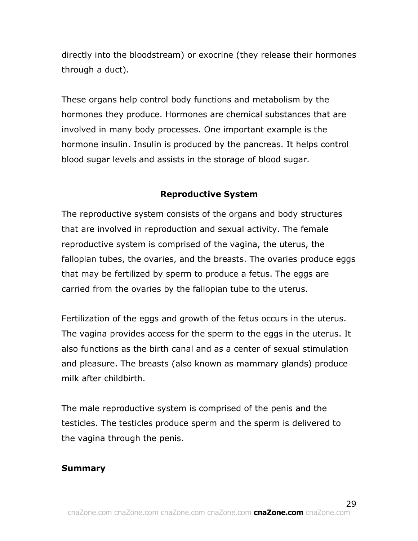directly into the bloodstream) or exocrine (they release their hormones through a duct).

These organs help control body functions and metabolism by the hormones they produce. Hormones are chemical substances that are involved in many body processes. One important example is the hormone insulin. Insulin is produced by the pancreas. It helps control blood sugar levels and assists in the storage of blood sugar.

# **Reproductive System**

The reproductive system consists of the organs and body structures that are involved in reproduction and sexual activity. The female reproductive system is comprised of the vagina, the uterus, the fallopian tubes, the ovaries, and the breasts. The ovaries produce eggs that may be fertilized by sperm to produce a fetus. The eggs are carried from the ovaries by the fallopian tube to the uterus.

Fertilization of the eggs and growth of the fetus occurs in the uterus. The vagina provides access for the sperm to the eggs in the uterus. It also functions as the birth canal and as a center of sexual stimulation and pleasure. The breasts (also known as mammary glands) produce milk after childbirth.

The male reproductive system is comprised of the penis and the testicles. The testicles produce sperm and the sperm is delivered to the vagina through the penis.

# **Summary**